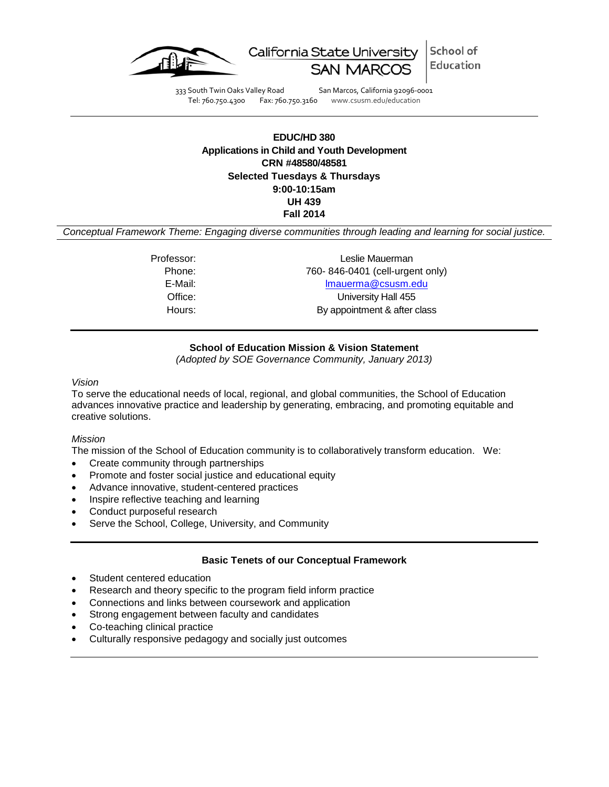

School of California State University Education

333 South Twin Oaks Valley Road San Marcos, California 92096-0001<br>Tel: 760.750.4300 Fax: 760.750.3160 www.csusm.edu/education

Fax: 760.750.3160 www.csusm.edu/education

# **EDUC/HD 380 Applications in Child and Youth Development CRN #48580/48581 Selected Tuesdays & Thursdays 9:00-10:15am UH 439 Fall 2014**

*Conceptual Framework Theme: Engaging diverse communities through leading and learning for social justice.*

Professor: Leslie Mauerman Phone: 760- 846-0401 (cell-urgent only) E-Mail: [lmauerma@csusm.edu](mailto:lmauerma@csusm.edu) Office: University Hall 455 Hours: By appointment & after class

# **School of Education Mission & Vision Statement**

*(Adopted by SOE Governance Community, January 2013)*

*Vision*

To serve the educational needs of local, regional, and global communities, the School of Education advances innovative practice and leadership by generating, embracing, and promoting equitable and creative solutions.

## *Mission*

The mission of the School of Education community is to collaboratively transform education. We:

- Create community through partnerships
- Promote and foster social justice and educational equity
- Advance innovative, student-centered practices
- Inspire reflective teaching and learning
- Conduct purposeful research
- Serve the School, College, University, and Community

## **Basic Tenets of our Conceptual Framework**

- Student centered education
- Research and theory specific to the program field inform practice
- Connections and links between coursework and application
- Strong engagement between faculty and candidates
- Co-teaching clinical practice
- Culturally responsive pedagogy and socially just outcomes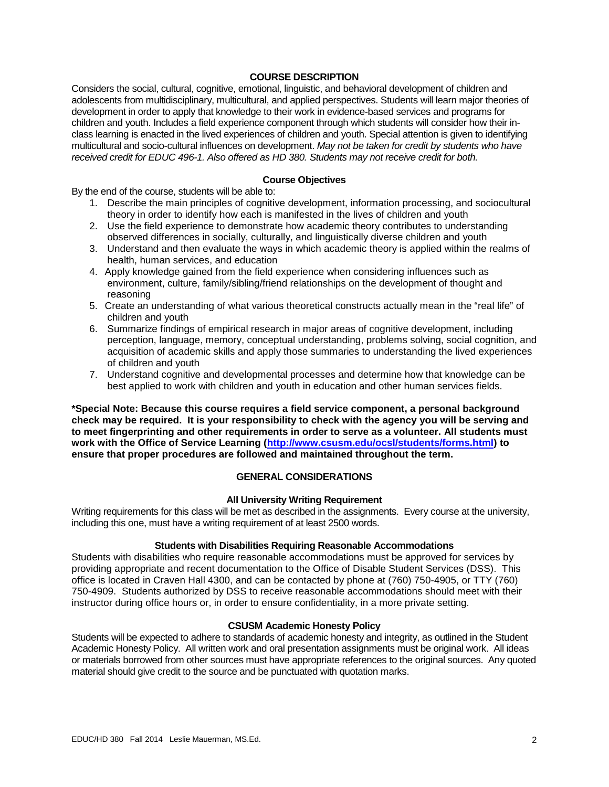# **COURSE DESCRIPTION**

Considers the social, cultural, cognitive, emotional, linguistic, and behavioral development of children and adolescents from multidisciplinary, multicultural, and applied perspectives. Students will learn major theories of development in order to apply that knowledge to their work in evidence-based services and programs for children and youth. Includes a field experience component through which students will consider how their inclass learning is enacted in the lived experiences of children and youth. Special attention is given to identifying multicultural and socio-cultural influences on development. *May not be taken for credit by students who have received credit for EDUC 496-1. Also offered as HD 380. Students may not receive credit for both.*

# **Course Objectives**

By the end of the course, students will be able to:

- 1. Describe the main principles of cognitive development, information processing, and sociocultural theory in order to identify how each is manifested in the lives of children and youth
- 2. Use the field experience to demonstrate how academic theory contributes to understanding observed differences in socially, culturally, and linguistically diverse children and youth
- 3. Understand and then evaluate the ways in which academic theory is applied within the realms of health, human services, and education
- 4. Apply knowledge gained from the field experience when considering influences such as environment, culture, family/sibling/friend relationships on the development of thought and reasoning
- 5. Create an understanding of what various theoretical constructs actually mean in the "real life" of children and youth
- 6. Summarize findings of empirical research in major areas of cognitive development, including perception, language, memory, conceptual understanding, problems solving, social cognition, and acquisition of academic skills and apply those summaries to understanding the lived experiences of children and youth
- 7. Understand cognitive and developmental processes and determine how that knowledge can be best applied to work with children and youth in education and other human services fields.

**\*Special Note: Because this course requires a field service component, a personal background check may be required. It is your responsibility to check with the agency you will be serving and to meet fingerprinting and other requirements in order to serve as a volunteer. All students must work with the Office of Service Learning [\(http://www.csusm.edu/ocsl/students/forms.html\)](http://www.csusm.edu/ocsl/students/forms.html) to ensure that proper procedures are followed and maintained throughout the term.**

#### **GENERAL CONSIDERATIONS**

#### **All University Writing Requirement**

Writing requirements for this class will be met as described in the assignments. Every course at the university, including this one, must have a writing requirement of at least 2500 words.

#### **Students with Disabilities Requiring Reasonable Accommodations**

Students with disabilities who require reasonable accommodations must be approved for services by providing appropriate and recent documentation to the Office of Disable Student Services (DSS). This office is located in Craven Hall 4300, and can be contacted by phone at (760) 750-4905, or TTY (760) 750-4909. Students authorized by DSS to receive reasonable accommodations should meet with their instructor during office hours or, in order to ensure confidentiality, in a more private setting.

#### **CSUSM Academic Honesty Policy**

Students will be expected to adhere to standards of academic honesty and integrity, as outlined in the Student Academic Honesty Policy. All written work and oral presentation assignments must be original work. All ideas or materials borrowed from other sources must have appropriate references to the original sources. Any quoted material should give credit to the source and be punctuated with quotation marks.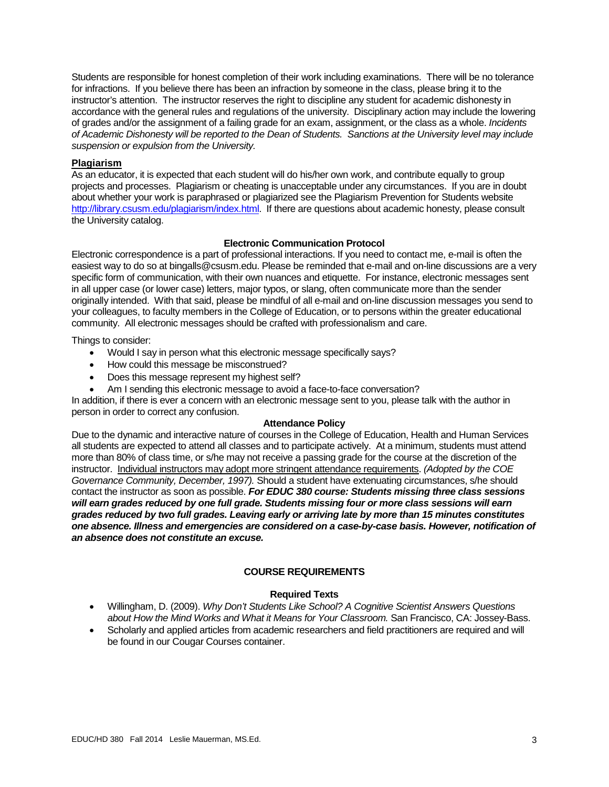Students are responsible for honest completion of their work including examinations. There will be no tolerance for infractions. If you believe there has been an infraction by someone in the class, please bring it to the instructor's attention. The instructor reserves the right to discipline any student for academic dishonesty in accordance with the general rules and regulations of the university. Disciplinary action may include the lowering of grades and/or the assignment of a failing grade for an exam, assignment, or the class as a whole. *Incidents of Academic Dishonesty will be reported to the Dean of Students. Sanctions at the University level may include suspension or expulsion from the University.*

#### **Plagiarism**

As an educator, it is expected that each student will do his/her own work, and contribute equally to group projects and processes. Plagiarism or cheating is unacceptable under any circumstances. If you are in doubt about whether your work is paraphrased or plagiarized see the Plagiarism Prevention for Students website [http://library.csusm.edu/plagiarism/index.html.](http://library.csusm.edu/plagiarism/index.html) If there are questions about academic honesty, please consult the University catalog.

#### **Electronic Communication Protocol**

Electronic correspondence is a part of professional interactions. If you need to contact me, e-mail is often the easiest way to do so at bingalls@csusm.edu. Please be reminded that e-mail and on-line discussions are a very specific form of communication, with their own nuances and etiquette. For instance, electronic messages sent in all upper case (or lower case) letters, major typos, or slang, often communicate more than the sender originally intended. With that said, please be mindful of all e-mail and on-line discussion messages you send to your colleagues, to faculty members in the College of Education, or to persons within the greater educational community. All electronic messages should be crafted with professionalism and care.

Things to consider:

- Would I say in person what this electronic message specifically says?
- How could this message be misconstrued?
- Does this message represent my highest self?
- Am I sending this electronic message to avoid a face-to-face conversation?

In addition, if there is ever a concern with an electronic message sent to you, please talk with the author in person in order to correct any confusion.

#### **Attendance Policy**

Due to the dynamic and interactive nature of courses in the College of Education, Health and Human Services all students are expected to attend all classes and to participate actively. At a minimum, students must attend more than 80% of class time, or s/he may not receive a passing grade for the course at the discretion of the instructor. Individual instructors may adopt more stringent attendance requirements. *(Adopted by the COE Governance Community, December, 1997).* Should a student have extenuating circumstances, s/he should contact the instructor as soon as possible. *For EDUC 380 course: Students missing three class sessions will earn grades reduced by one full grade. Students missing four or more class sessions will earn grades reduced by two full grades. Leaving early or arriving late by more than 15 minutes constitutes one absence. Illness and emergencies are considered on a case-by-case basis. However, notification of an absence does not constitute an excuse.* 

## **COURSE REQUIREMENTS**

## **Required Texts**

- Willingham, D. (2009). *Why Don't Students Like School? A Cognitive Scientist Answers Questions about How the Mind Works and What it Means for Your Classroom.* San Francisco, CA: Jossey-Bass.
- Scholarly and applied articles from academic researchers and field practitioners are required and will be found in our Cougar Courses container.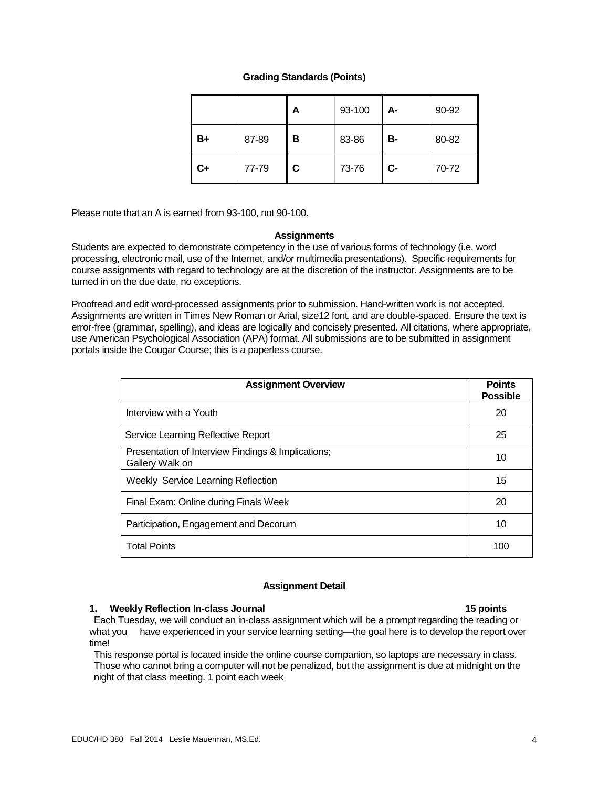# **Grading Standards (Points)**

|    |       | A | 93-100 | А-        | 90-92 |
|----|-------|---|--------|-----------|-------|
| B+ | 87-89 | в | 83-86  | <b>B-</b> | 80-82 |
| C+ | 77-79 | С | 73-76  | $C-$      | 70-72 |

Please note that an A is earned from 93-100, not 90-100.

#### **Assignments**

Students are expected to demonstrate competency in the use of various forms of technology (i.e. word processing, electronic mail, use of the Internet, and/or multimedia presentations). Specific requirements for course assignments with regard to technology are at the discretion of the instructor. Assignments are to be turned in on the due date, no exceptions.

Proofread and edit word-processed assignments prior to submission. Hand-written work is not accepted. Assignments are written in Times New Roman or Arial, size12 font, and are double-spaced. Ensure the text is error-free (grammar, spelling), and ideas are logically and concisely presented. All citations, where appropriate, use American Psychological Association (APA) format. All submissions are to be submitted in assignment portals inside the Cougar Course; this is a paperless course.

| <b>Assignment Overview</b>                                            | <b>Points</b><br><b>Possible</b> |  |  |
|-----------------------------------------------------------------------|----------------------------------|--|--|
| Interview with a Youth                                                |                                  |  |  |
| Service Learning Reflective Report                                    | 25                               |  |  |
| Presentation of Interview Findings & Implications;<br>Gallery Walk on | 10                               |  |  |
| <b>Weekly Service Learning Reflection</b>                             |                                  |  |  |
| Final Exam: Online during Finals Week                                 |                                  |  |  |
| Participation, Engagement and Decorum                                 | 10                               |  |  |
| <b>Total Points</b>                                                   |                                  |  |  |

## **Assignment Detail**

#### **1. Weekly Reflection In-class Journal 15 points**

Each Tuesday, we will conduct an in-class assignment which will be a prompt regarding the reading or what you have experienced in your service learning setting—the goal here is to develop the report over time!

This response portal is located inside the online course companion, so laptops are necessary in class. Those who cannot bring a computer will not be penalized, but the assignment is due at midnight on the night of that class meeting. 1 point each week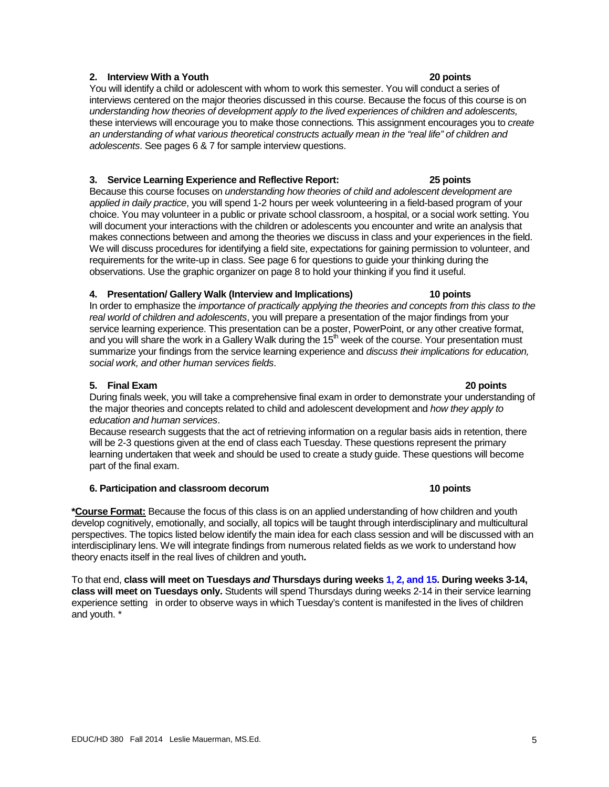# **2. Interview With a Youth 20 points**

You will identify a child or adolescent with whom to work this semester. You will conduct a series of interviews centered on the major theories discussed in this course. Because the focus of this course is on *understanding how theories of development apply to the lived experiences of children and adolescents,*  these interviews will encourage you to make those connections*.* This assignment encourages you to *create an understanding of what various theoretical constructs actually mean in the "real life" of children and adolescents*. See pages 6 & 7 for sample interview questions.

# **3. Service Learning Experience and Reflective Report: 25 points**

Because this course focuses on *understanding how theories of child and adolescent development are applied in daily practice*, you will spend 1-2 hours per week volunteering in a field-based program of your choice. You may volunteer in a public or private school classroom, a hospital, or a social work setting. You will document your interactions with the children or adolescents you encounter and write an analysis that makes connections between and among the theories we discuss in class and your experiences in the field. We will discuss procedures for identifying a field site, expectations for gaining permission to volunteer, and requirements for the write-up in class. See page 6 for questions to guide your thinking during the observations. Use the graphic organizer on page 8 to hold your thinking if you find it useful.

#### **4. Presentation/ Gallery Walk (Interview and Implications) 10 points**

In order to emphasize the *importance of practically applying the theories and concepts from this class to the real world of children and adolescents*, you will prepare a presentation of the major findings from your service learning experience. This presentation can be a poster, PowerPoint, or any other creative format, and you will share the work in a Gallery Walk during the  $15<sup>th</sup>$  week of the course. Your presentation must summarize your findings from the service learning experience and *discuss their implications for education, social work, and other human services fields*.

## **5. Final Exam 20 points**

During finals week, you will take a comprehensive final exam in order to demonstrate your understanding of the major theories and concepts related to child and adolescent development and *how they apply to education and human services*.

Because research suggests that the act of retrieving information on a regular basis aids in retention, there will be 2-3 questions given at the end of class each Tuesday. These questions represent the primary learning undertaken that week and should be used to create a study guide. These questions will become part of the final exam.

## **6. Participation and classroom decorum 10 points**

**\*Course Format:** Because the focus of this class is on an applied understanding of how children and youth develop cognitively, emotionally, and socially, all topics will be taught through interdisciplinary and multicultural perspectives. The topics listed below identify the main idea for each class session and will be discussed with an interdisciplinary lens. We will integrate findings from numerous related fields as we work to understand how theory enacts itself in the real lives of children and youth**.**

To that end, **class will meet on Tuesdays** *and* **Thursdays during weeks 1, 2, and 15. During weeks 3-14, class will meet on Tuesdays only.** Students will spend Thursdays during weeks 2-14 in their service learning experience setting in order to observe ways in which Tuesday's content is manifested in the lives of children and youth. \*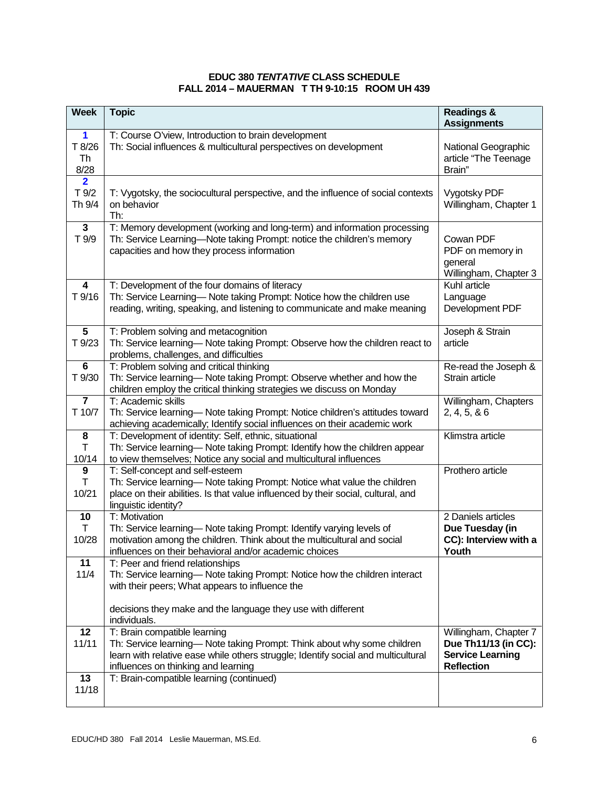# **EDUC 380** *TENTATIVE* **CLASS SCHEDULE FALL 2014 – MAUERMAN T TH 9-10:15 ROOM UH 439**

| <b>Week</b>                                  | <b>Topic</b>                                                                                                                                                                                                                        | <b>Readings &amp;</b><br><b>Assignments</b>                                                   |
|----------------------------------------------|-------------------------------------------------------------------------------------------------------------------------------------------------------------------------------------------------------------------------------------|-----------------------------------------------------------------------------------------------|
| $\mathbf 1$<br>T 8/26<br>Th<br>8/28          | T: Course O'view, Introduction to brain development<br>Th: Social influences & multicultural perspectives on development                                                                                                            | National Geographic<br>article "The Teenage<br>Brain"                                         |
| $\overline{\mathbf{2}}$<br>$T$ 9/2<br>Th 9/4 | T: Vygotsky, the sociocultural perspective, and the influence of social contexts<br>on behavior<br>Th:                                                                                                                              | <b>Vygotsky PDF</b><br>Willingham, Chapter 1                                                  |
| $\overline{3}$<br>T 9/9                      | T: Memory development (working and long-term) and information processing<br>Th: Service Learning-Note taking Prompt: notice the children's memory<br>capacities and how they process information                                    | Cowan PDF<br>PDF on memory in<br>general<br>Willingham, Chapter 3                             |
| $\overline{\mathbf{4}}$<br>T 9/16            | T: Development of the four domains of literacy<br>Th: Service Learning- Note taking Prompt: Notice how the children use<br>reading, writing, speaking, and listening to communicate and make meaning                                | Kuhl article<br>Language<br>Development PDF                                                   |
| 5<br>T 9/23                                  | T: Problem solving and metacognition<br>Th: Service learning- Note taking Prompt: Observe how the children react to<br>problems, challenges, and difficulties                                                                       | Joseph & Strain<br>article                                                                    |
| $\bf 6$<br>T 9/30                            | T: Problem solving and critical thinking<br>Th: Service learning-Note taking Prompt: Observe whether and how the<br>children employ the critical thinking strategies we discuss on Monday                                           | Re-read the Joseph &<br>Strain article                                                        |
| $\overline{\mathbf{7}}$<br>T 10/7            | T: Academic skills<br>Th: Service learning-Note taking Prompt: Notice children's attitudes toward<br>achieving academically; Identify social influences on their academic work                                                      | Willingham, Chapters<br>2, 4, 5, 86                                                           |
| 8<br>T<br>10/14                              | T: Development of identity: Self, ethnic, situational<br>Th: Service learning- Note taking Prompt: Identify how the children appear<br>to view themselves; Notice any social and multicultural influences                           | Klimstra article                                                                              |
| $\boldsymbol{9}$<br>T<br>10/21               | T: Self-concept and self-esteem<br>Th: Service learning- Note taking Prompt: Notice what value the children<br>place on their abilities. Is that value influenced by their social, cultural, and<br>linguistic identity?            | Prothero article                                                                              |
| 10<br>T<br>10/28                             | T: Motivation<br>Th: Service learning-Note taking Prompt: Identify varying levels of<br>motivation among the children. Think about the multicultural and social<br>influences on their behavioral and/or academic choices           | 2 Daniels articles<br>Due Tuesday (in<br>CC): Interview with a<br>Youth                       |
| 11<br>11/4                                   | T: Peer and friend relationships<br>Th: Service learning— Note taking Prompt: Notice how the children interact<br>with their peers; What appears to influence the                                                                   |                                                                                               |
|                                              | decisions they make and the language they use with different<br>individuals.                                                                                                                                                        |                                                                                               |
| 12<br>11/11                                  | T: Brain compatible learning<br>Th: Service learning— Note taking Prompt: Think about why some children<br>learn with relative ease while others struggle; Identify social and multicultural<br>influences on thinking and learning | Willingham, Chapter 7<br>Due Th11/13 (in CC):<br><b>Service Learning</b><br><b>Reflection</b> |
| 13<br>11/18                                  | T: Brain-compatible learning (continued)                                                                                                                                                                                            |                                                                                               |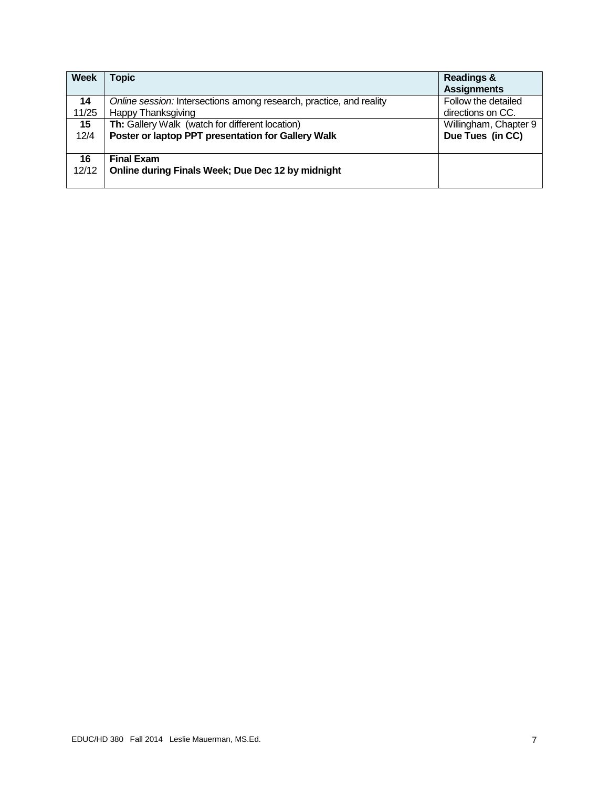| <b>Week</b> | <b>Topic</b>                                                           | <b>Readings &amp;</b><br><b>Assignments</b> |
|-------------|------------------------------------------------------------------------|---------------------------------------------|
| 14          | Online session: Intersections among research, practice, and reality    | Follow the detailed                         |
| 11/25       | <b>Happy Thanksgiving</b>                                              | directions on CC.                           |
| 15          | Th: Gallery Walk (watch for different location)                        | Willingham, Chapter 9                       |
| 12/4        | Poster or laptop PPT presentation for Gallery Walk                     | Due Tues (in CC)                            |
| 16<br>12/12 | <b>Final Exam</b><br>Online during Finals Week; Due Dec 12 by midnight |                                             |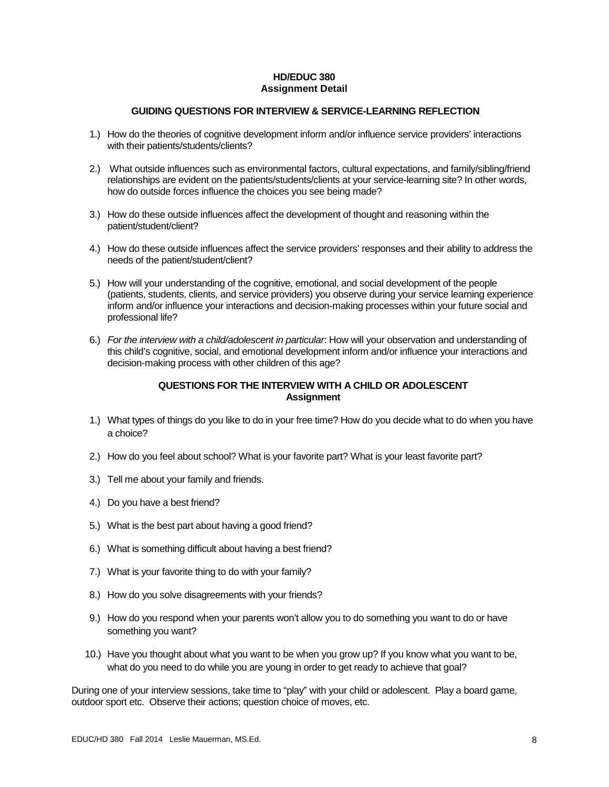# **HD/EDUC 380 Assignment Detail**

# **GUIDING QUESTIONS FOR INTERVIEW & SERVICE-LEARNING REFLECTION**

- 1.) How do the theories of cognitive development inform and/or influence service providers' interactions with their patients/students/clients?
- 2.) What outside influences such as environmental factors, cultural expectations, and family/sibling/friend relationships are evident on the patients/students/clients at your service-learning site? In other words, how do outside forces influence the choices you see being made?
- 3.) How do these outside influences affect the development of thought and reasoning within the patient/student/client?
- 4.) How do these outside influences affect the service providers' responses and their ability to address the needs of the patient/student/client?
- 5.) How will your understanding of the cognitive, emotional, and social development of the people (patients, students, clients, and service providers) you observe during your service learning experience inform and/or influence your interactions and decision-making processes within your future social and professional life?
- 6.) *For the interview with a child/adolescent in particular*: How will your observation and understanding of this child's cognitive, social, and emotional development inform and/or influence your interactions and decision-making process with other children of this age?

# **QUESTIONS FOR THE INTERVIEW WITH A CHILD OR ADOLESCENT Assignment**

- 1.) What types of things do you like to do in your free time? How do you decide what to do when you have a choice?
- 2.) How do you feel about school? What is your favorite part? What is your least favorite part?
- 3.) Tell me about your family and friends.
- 4.) Do you have a best friend?
- 5.) What is the best part about having a good friend?
- 6.) What is something difficult about having a best friend?
- 7.) What is your favorite thing to do with your family?
- 8.) How do you solve disagreements with your friends?
- 9.) How do you respond when your parents won't allow you to do something you want to do or have something you want?
- 10.) Have you thought about what you want to be when you grow up? If you know what you want to be, what do you need to do while you are young in order to get ready to achieve that goal?

During one of your interview sessions, take time to "play" with your child or adolescent. Play a board game, outdoor sport etc. Observe their actions; question choice of moves, etc.